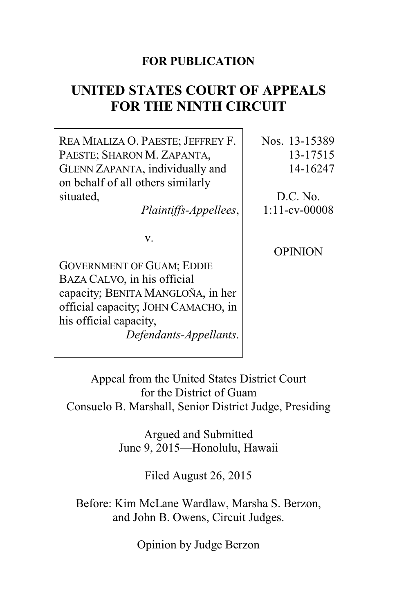### **FOR PUBLICATION**

# **UNITED STATES COURT OF APPEALS FOR THE NINTH CIRCUIT**

REA MIALIZA O. PAESTE; JEFFREY F. PAESTE; SHARON M. ZAPANTA, GLENN ZAPANTA, individually and on behalf of all others similarly situated,

*Plaintiffs-Appellees*,

v.

GOVERNMENT OF GUAM; EDDIE BAZA CALVO, in his official capacity; BENITA MANGLOÑA, in her official capacity; JOHN CAMACHO, in his official capacity, *Defendants-Appellants*. Nos. 13-15389 13-17515 14-16247

D.C. No. 1:11-cv-00008

**OPINION** 

Appeal from the United States District Court for the District of Guam Consuelo B. Marshall, Senior District Judge, Presiding

> Argued and Submitted June 9, 2015—Honolulu, Hawaii

> > Filed August 26, 2015

Before: Kim McLane Wardlaw, Marsha S. Berzon, and John B. Owens, Circuit Judges.

Opinion by Judge Berzon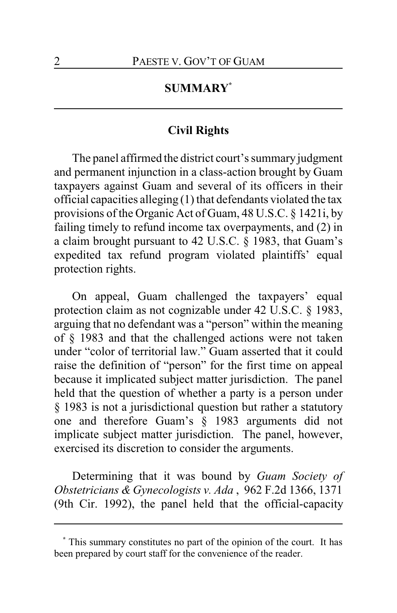# **SUMMARY\***

# **Civil Rights**

The panel affirmed the district court's summary judgment and permanent injunction in a class-action brought by Guam taxpayers against Guam and several of its officers in their official capacities alleging (1) that defendants violated the tax provisions of the Organic Act of Guam, 48 U.S.C. § 1421i, by failing timely to refund income tax overpayments, and (2) in a claim brought pursuant to 42 U.S.C. § 1983, that Guam's expedited tax refund program violated plaintiffs' equal protection rights.

On appeal, Guam challenged the taxpayers' equal protection claim as not cognizable under 42 U.S.C. § 1983, arguing that no defendant was a "person" within the meaning of § 1983 and that the challenged actions were not taken under "color of territorial law." Guam asserted that it could raise the definition of "person" for the first time on appeal because it implicated subject matter jurisdiction. The panel held that the question of whether a party is a person under § 1983 is not a jurisdictional question but rather a statutory one and therefore Guam's § 1983 arguments did not implicate subject matter jurisdiction. The panel, however, exercised its discretion to consider the arguments.

Determining that it was bound by *Guam Society of Obstetricians & Gynecologists v. Ada* , 962 F.2d 1366, 1371 (9th Cir. 1992), the panel held that the official-capacity

**<sup>\*</sup>** This summary constitutes no part of the opinion of the court. It has been prepared by court staff for the convenience of the reader.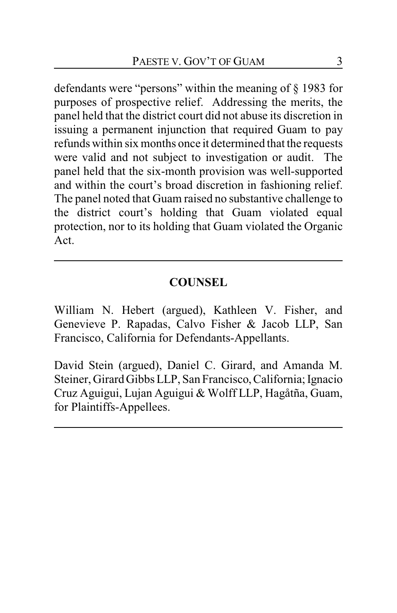defendants were "persons" within the meaning of § 1983 for purposes of prospective relief. Addressing the merits, the panel held that the district court did not abuse its discretion in issuing a permanent injunction that required Guam to pay refunds within six months once it determined that the requests were valid and not subject to investigation or audit. The panel held that the six-month provision was well-supported and within the court's broad discretion in fashioning relief. The panel noted that Guam raised no substantive challenge to the district court's holding that Guam violated equal protection, nor to its holding that Guam violated the Organic Act.

### **COUNSEL**

William N. Hebert (argued), Kathleen V. Fisher, and Genevieve P. Rapadas, Calvo Fisher & Jacob LLP, San Francisco, California for Defendants-Appellants.

David Stein (argued), Daniel C. Girard, and Amanda M. Steiner, Girard Gibbs LLP, San Francisco,California; Ignacio Cruz Aguigui, Lujan Aguigui & Wolff LLP, Hagåtña, Guam, for Plaintiffs-Appellees.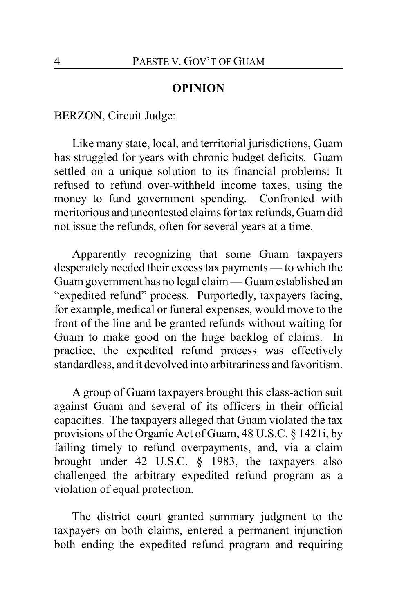#### **OPINION**

BERZON, Circuit Judge:

Like many state, local, and territorial jurisdictions, Guam has struggled for years with chronic budget deficits. Guam settled on a unique solution to its financial problems: It refused to refund over-withheld income taxes, using the money to fund government spending. Confronted with meritorious and uncontested claims for tax refunds, Guam did not issue the refunds, often for several years at a time.

Apparently recognizing that some Guam taxpayers desperately needed their excess tax payments — to which the Guam government has no legal claim — Guam established an "expedited refund" process. Purportedly, taxpayers facing, for example, medical or funeral expenses, would move to the front of the line and be granted refunds without waiting for Guam to make good on the huge backlog of claims. In practice, the expedited refund process was effectively standardless, and it devolved into arbitrariness and favoritism.

A group of Guam taxpayers brought this class-action suit against Guam and several of its officers in their official capacities. The taxpayers alleged that Guam violated the tax provisions of the Organic Act of Guam, 48 U.S.C. § 1421i, by failing timely to refund overpayments, and, via a claim brought under 42 U.S.C. § 1983, the taxpayers also challenged the arbitrary expedited refund program as a violation of equal protection.

The district court granted summary judgment to the taxpayers on both claims, entered a permanent injunction both ending the expedited refund program and requiring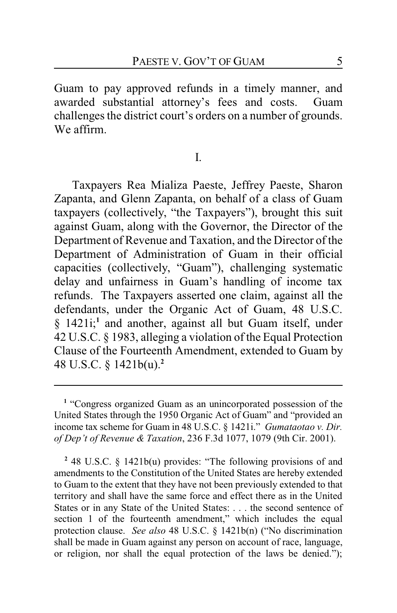Guam to pay approved refunds in a timely manner, and awarded substantial attorney's fees and costs. Guam challenges the district court's orders on a number of grounds. We affirm.

#### I.

Taxpayers Rea Mializa Paeste, Jeffrey Paeste, Sharon Zapanta, and Glenn Zapanta, on behalf of a class of Guam taxpayers (collectively, "the Taxpayers"), brought this suit against Guam, along with the Governor, the Director of the Department of Revenue and Taxation, and the Director of the Department of Administration of Guam in their official capacities (collectively, "Guam"), challenging systematic delay and unfairness in Guam's handling of income tax refunds. The Taxpayers asserted one claim, against all the defendants, under the Organic Act of Guam, 48 U.S.C. § 1421i;<sup>1</sup> and another, against all but Guam itself, under 42 U.S.C. § 1983, alleging a violation of the Equal Protection Clause of the Fourteenth Amendment, extended to Guam by 48 U.S.C. § 1421b(u).**<sup>2</sup>**

**2** 48 U.S.C. § 1421b(u) provides: "The following provisions of and amendments to the Constitution of the United States are hereby extended to Guam to the extent that they have not been previously extended to that territory and shall have the same force and effect there as in the United States or in any State of the United States: . . . the second sentence of section 1 of the fourteenth amendment," which includes the equal protection clause. *See also* 48 U.S.C. § 1421b(n) ("No discrimination shall be made in Guam against any person on account of race, language, or religion, nor shall the equal protection of the laws be denied.");

<sup>&</sup>lt;sup>1</sup> "Congress organized Guam as an unincorporated possession of the United States through the 1950 Organic Act of Guam" and "provided an income tax scheme for Guam in 48 U.S.C. § 1421i." *Gumataotao v. Dir. of Dep't of Revenue & Taxation*, 236 F.3d 1077, 1079 (9th Cir. 2001).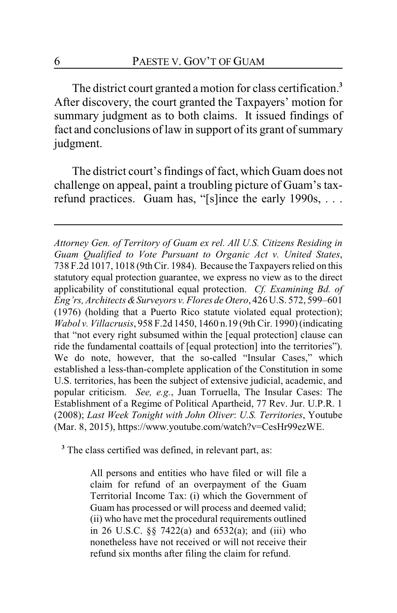The district court granted a motion for class certification.**<sup>3</sup>** After discovery, the court granted the Taxpayers' motion for summary judgment as to both claims. It issued findings of fact and conclusions of law in support of its grant of summary judgment.

The district court's findings of fact, which Guam does not challenge on appeal, paint a troubling picture of Guam's taxrefund practices. Guam has, "[s]ince the early 1990s, . . .

*Attorney Gen. of Territory of Guam ex rel. All U.S. Citizens Residing in Guam Qualified to Vote Pursuant to Organic Act v. United States*, 738 F.2d 1017, 1018 (9thCir. 1984). Because the Taxpayers relied on this statutory equal protection guarantee, we express no view as to the direct applicability of constitutional equal protection. *Cf. Examining Bd. of Eng'rs, Architects &Surveyors v. Flores de Otero*, 426 U.S. 572, 599–601 (1976) (holding that a Puerto Rico statute violated equal protection); *Wabol v. Villacrusis*, 958 F.2d 1450, 1460 n.19 (9thCir. 1990) (indicating that "not every right subsumed within the [equal protection] clause can ride the fundamental coattails of [equal protection] into the territories"). We do note, however, that the so-called "Insular Cases," which established a less-than-complete application of the Constitution in some U.S. territories, has been the subject of extensive judicial, academic, and popular criticism. *See, e.g.*, Juan Torruella, The Insular Cases: The Establishment of a Regime of Political Apartheid, 77 Rev. Jur. U.P.R. 1 (2008); *Last Week Tonight with John Oliver*: *U.S. Territories*, Youtube (Mar. 8, 2015), https://www.youtube.com/watch?v=CesHr99ezWE.

**3** The class certified was defined, in relevant part, as:

All persons and entities who have filed or will file a claim for refund of an overpayment of the Guam Territorial Income Tax: (i) which the Government of Guam has processed or will process and deemed valid; (ii) who have met the procedural requirements outlined in 26 U.S.C. §§ 7422(a) and 6532(a); and (iii) who nonetheless have not received or will not receive their refund six months after filing the claim for refund.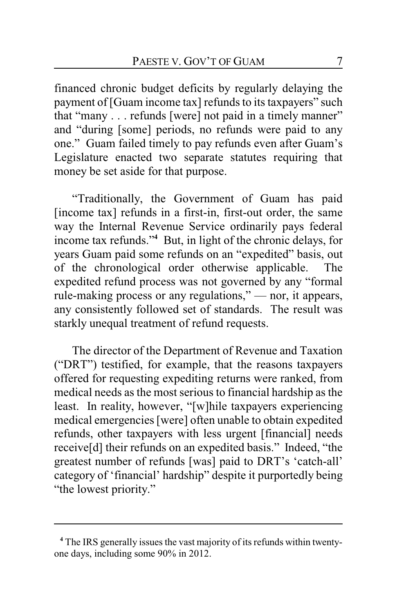financed chronic budget deficits by regularly delaying the payment of [Guam income tax] refunds to its taxpayers" such that "many . . . refunds [were] not paid in a timely manner" and "during [some] periods, no refunds were paid to any one." Guam failed timely to pay refunds even after Guam's Legislature enacted two separate statutes requiring that money be set aside for that purpose.

"Traditionally, the Government of Guam has paid [income tax] refunds in a first-in, first-out order, the same way the Internal Revenue Service ordinarily pays federal income tax refunds."**<sup>4</sup>** But, in light of the chronic delays, for years Guam paid some refunds on an "expedited" basis, out of the chronological order otherwise applicable. The expedited refund process was not governed by any "formal rule-making process or any regulations," — nor, it appears, any consistently followed set of standards. The result was starkly unequal treatment of refund requests.

The director of the Department of Revenue and Taxation ("DRT") testified, for example, that the reasons taxpayers offered for requesting expediting returns were ranked, from medical needs as the most serious to financial hardship as the least. In reality, however, "[w]hile taxpayers experiencing medical emergencies [were] often unable to obtain expedited refunds, other taxpayers with less urgent [financial] needs receive[d] their refunds on an expedited basis." Indeed, "the greatest number of refunds [was] paid to DRT's 'catch-all' category of 'financial' hardship" despite it purportedly being "the lowest priority."

**<sup>4</sup>** The IRS generally issues the vast majority of its refunds within twentyone days, including some 90% in 2012.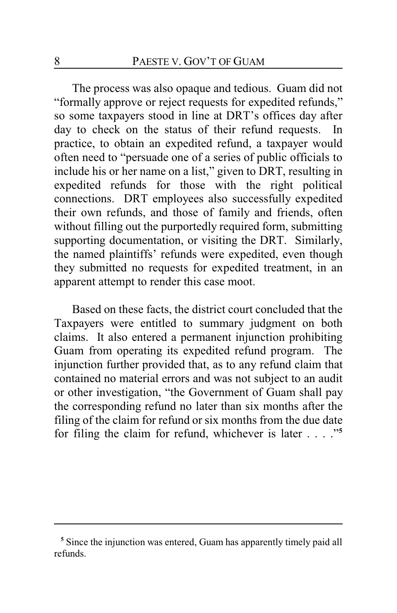The process was also opaque and tedious. Guam did not "formally approve or reject requests for expedited refunds," so some taxpayers stood in line at DRT's offices day after day to check on the status of their refund requests. In practice, to obtain an expedited refund, a taxpayer would often need to "persuade one of a series of public officials to include his or her name on a list," given to DRT, resulting in expedited refunds for those with the right political connections. DRT employees also successfully expedited their own refunds, and those of family and friends, often without filling out the purportedly required form, submitting supporting documentation, or visiting the DRT. Similarly, the named plaintiffs' refunds were expedited, even though they submitted no requests for expedited treatment, in an apparent attempt to render this case moot.

Based on these facts, the district court concluded that the Taxpayers were entitled to summary judgment on both claims. It also entered a permanent injunction prohibiting Guam from operating its expedited refund program. The injunction further provided that, as to any refund claim that contained no material errors and was not subject to an audit or other investigation, "the Government of Guam shall pay the corresponding refund no later than six months after the filing of the claim for refund or six months from the due date for filing the claim for refund, whichever is later . . . ."**<sup>5</sup>**

**<sup>5</sup>** Since the injunction was entered, Guam has apparently timely paid all refunds.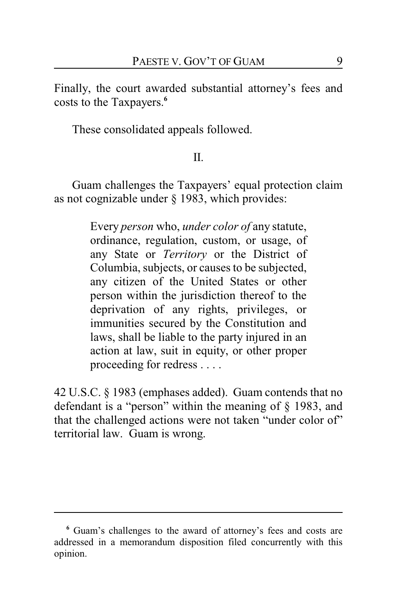Finally, the court awarded substantial attorney's fees and costs to the Taxpayers.**<sup>6</sup>**

These consolidated appeals followed.

# II.

Guam challenges the Taxpayers' equal protection claim as not cognizable under § 1983, which provides:

> Every *person* who, *under color of* any statute, ordinance, regulation, custom, or usage, of any State or *Territory* or the District of Columbia, subjects, or causes to be subjected, any citizen of the United States or other person within the jurisdiction thereof to the deprivation of any rights, privileges, or immunities secured by the Constitution and laws, shall be liable to the party injured in an action at law, suit in equity, or other proper proceeding for redress . . . .

42 U.S.C. § 1983 (emphases added). Guam contends that no defendant is a "person" within the meaning of § 1983, and that the challenged actions were not taken "under color of" territorial law. Guam is wrong.

**<sup>6</sup>** Guam's challenges to the award of attorney's fees and costs are addressed in a memorandum disposition filed concurrently with this opinion.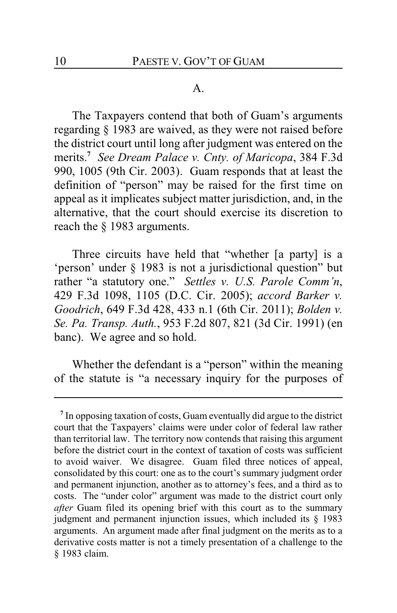#### A.

The Taxpayers contend that both of Guam's arguments regarding § 1983 are waived, as they were not raised before the district court until long after judgment was entered on the merits.**<sup>7</sup>** *See Dream Palace v. Cnty. of Maricopa*, 384 F.3d 990, 1005 (9th Cir. 2003). Guam responds that at least the definition of "person" may be raised for the first time on appeal as it implicates subject matter jurisdiction, and, in the alternative, that the court should exercise its discretion to reach the § 1983 arguments.

Three circuits have held that "whether [a party] is a 'person' under § 1983 is not a jurisdictional question" but rather "a statutory one." *Settles v. U.S. Parole Comm'n*, 429 F.3d 1098, 1105 (D.C. Cir. 2005); *accord Barker v. Goodrich*, 649 F.3d 428, 433 n.1 (6th Cir. 2011); *Bolden v. Se. Pa. Transp. Auth.*, 953 F.2d 807, 821 (3d Cir. 1991) (en banc). We agree and so hold.

Whether the defendant is a "person" within the meaning of the statute is "a necessary inquiry for the purposes of

**<sup>7</sup>** In opposing taxation of costs, Guam eventually did argue to the district court that the Taxpayers' claims were under color of federal law rather than territorial law. The territory now contends that raising this argument before the district court in the context of taxation of costs was sufficient to avoid waiver. We disagree. Guam filed three notices of appeal, consolidated by this court: one as to the court's summary judgment order and permanent injunction, another as to attorney's fees, and a third as to costs. The "under color" argument was made to the district court only *after* Guam filed its opening brief with this court as to the summary judgment and permanent injunction issues, which included its § 1983 arguments. An argument made after final judgment on the merits as to a derivative costs matter is not a timely presentation of a challenge to the § 1983 claim.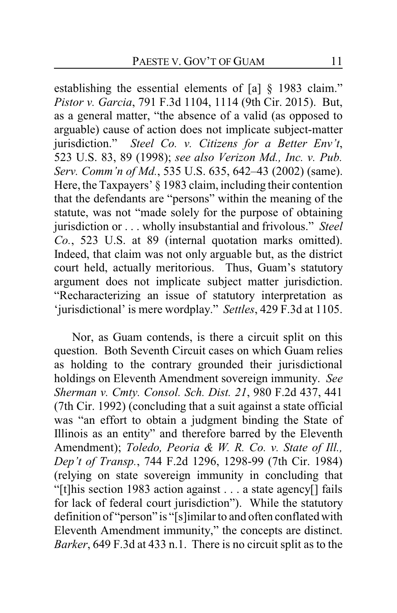establishing the essential elements of [a] § 1983 claim." *Pistor v. Garcia*, 791 F.3d 1104, 1114 (9th Cir. 2015). But, as a general matter, "the absence of a valid (as opposed to arguable) cause of action does not implicate subject-matter jurisdiction." *Steel Co. v. Citizens for a Better Env't*, 523 U.S. 83, 89 (1998); *see also Verizon Md., Inc. v. Pub. Serv. Comm'n of Md.*, 535 U.S. 635, 642–43 (2002) (same). Here, the Taxpayers' § 1983 claim, including their contention that the defendants are "persons" within the meaning of the statute, was not "made solely for the purpose of obtaining jurisdiction or . . . wholly insubstantial and frivolous." *Steel Co.*, 523 U.S. at 89 (internal quotation marks omitted). Indeed, that claim was not only arguable but, as the district court held, actually meritorious. Thus, Guam's statutory argument does not implicate subject matter jurisdiction. "Recharacterizing an issue of statutory interpretation as 'jurisdictional' is mere wordplay." *Settles*, 429 F.3d at 1105.

Nor, as Guam contends, is there a circuit split on this question. Both Seventh Circuit cases on which Guam relies as holding to the contrary grounded their jurisdictional holdings on Eleventh Amendment sovereign immunity. *See Sherman v. Cmty. Consol. Sch. Dist. 21*, 980 F.2d 437, 441 (7th Cir. 1992) (concluding that a suit against a state official was "an effort to obtain a judgment binding the State of Illinois as an entity" and therefore barred by the Eleventh Amendment); *Toledo, Peoria & W. R. Co. v. State of Ill., Dep't of Transp.*, 744 F.2d 1296, 1298-99 (7th Cir. 1984) (relying on state sovereign immunity in concluding that "[t]his section 1983 action against . . . a state agency[] fails for lack of federal court jurisdiction"). While the statutory definition of "person" is "[s]imilar to and often conflated with Eleventh Amendment immunity," the concepts are distinct. *Barker*, 649 F.3d at 433 n.1. There is no circuit split as to the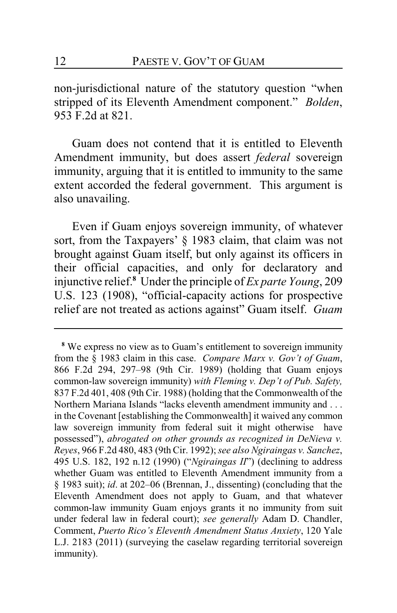non-jurisdictional nature of the statutory question "when stripped of its Eleventh Amendment component." *Bolden*, 953 F.2d at 821.

Guam does not contend that it is entitled to Eleventh Amendment immunity, but does assert *federal* sovereign immunity, arguing that it is entitled to immunity to the same extent accorded the federal government. This argument is also unavailing.

Even if Guam enjoys sovereign immunity, of whatever sort, from the Taxpayers' § 1983 claim, that claim was not brought against Guam itself, but only against its officers in their official capacities, and only for declaratory and injunctive relief.**<sup>8</sup>** Under the principle of *Ex parte Young*, 209 U.S. 123 (1908), "official-capacity actions for prospective relief are not treated as actions against" Guam itself. *Guam*

**<sup>8</sup>** We express no view as to Guam's entitlement to sovereign immunity from the § 1983 claim in this case. *Compare Marx v. Gov't of Guam*, 866 F.2d 294, 297–98 (9th Cir. 1989) (holding that Guam enjoys common-law sovereign immunity) *with Fleming v. Dep't of Pub. Safety,* 837 F.2d 401, 408 (9th Cir. 1988) (holding that the Commonwealth of the Northern Mariana Islands "lacks eleventh amendment immunity and . . . in the Covenant [establishing the Commonwealth] it waived any common law sovereign immunity from federal suit it might otherwise have possessed"), *abrogated on other grounds as recognized in DeNieva v. Reyes*, 966 F.2d 480, 483 (9th Cir. 1992); *see also Ngiraingas v. Sanchez*, 495 U.S. 182, 192 n.12 (1990) ("*Ngiraingas II*") (declining to address whether Guam was entitled to Eleventh Amendment immunity from a § 1983 suit); *id*. at 202–06 (Brennan, J., dissenting) (concluding that the Eleventh Amendment does not apply to Guam, and that whatever common-law immunity Guam enjoys grants it no immunity from suit under federal law in federal court); *see generally* Adam D. Chandler, Comment, *Puerto Rico's Eleventh Amendment Status Anxiety*, 120 Yale L.J. 2183 (2011) (surveying the caselaw regarding territorial sovereign immunity).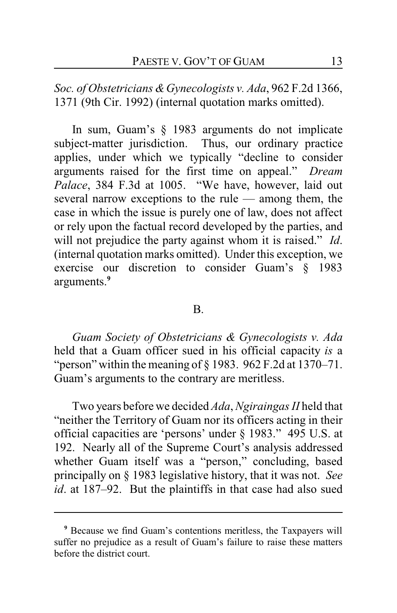*Soc. of Obstetricians &Gynecologists v. Ada*, 962 F.2d 1366, 1371 (9th Cir. 1992) (internal quotation marks omitted).

In sum, Guam's § 1983 arguments do not implicate subject-matter jurisdiction. Thus, our ordinary practice applies, under which we typically "decline to consider arguments raised for the first time on appeal." *Dream Palace*, 384 F.3d at 1005. "We have, however, laid out several narrow exceptions to the rule — among them, the case in which the issue is purely one of law, does not affect or rely upon the factual record developed by the parties, and will not prejudice the party against whom it is raised." *Id*. (internal quotation marks omitted). Under this exception, we exercise our discretion to consider Guam's § 1983 arguments.**<sup>9</sup>**

#### B.

*Guam Society of Obstetricians & Gynecologists v. Ada* held that a Guam officer sued in his official capacity *is* a "person" within the meaning of  $\S$  1983. 962 F.2d at 1370–71. Guam's arguments to the contrary are meritless.

Two years before we decided *Ada*, *Ngiraingas II* held that "neither the Territory of Guam nor its officers acting in their official capacities are 'persons' under § 1983." 495 U.S. at 192. Nearly all of the Supreme Court's analysis addressed whether Guam itself was a "person," concluding, based principally on § 1983 legislative history, that it was not. *See id*. at 187–92. But the plaintiffs in that case had also sued

**<sup>9</sup>** Because we find Guam's contentions meritless, the Taxpayers will suffer no prejudice as a result of Guam's failure to raise these matters before the district court.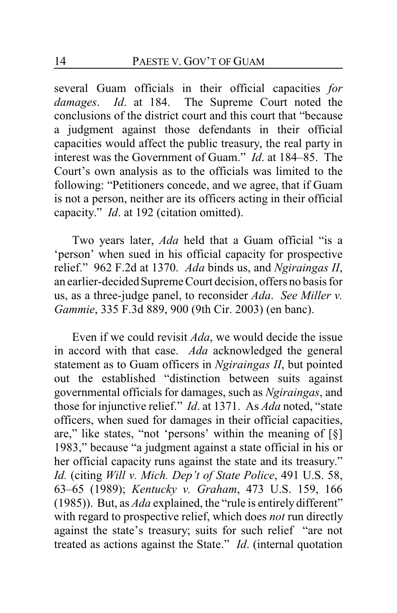several Guam officials in their official capacities *for damages*. *Id*. at 184. The Supreme Court noted the conclusions of the district court and this court that "because a judgment against those defendants in their official capacities would affect the public treasury, the real party in interest was the Government of Guam." *Id*. at 184–85. The Court's own analysis as to the officials was limited to the following: "Petitioners concede, and we agree, that if Guam is not a person, neither are its officers acting in their official capacity." *Id*. at 192 (citation omitted).

Two years later, *Ada* held that a Guam official "is a 'person' when sued in his official capacity for prospective relief." 962 F.2d at 1370. *Ada* binds us, and *Ngiraingas II*, an earlier-decided Supreme Court decision, offers no basis for us, as a three-judge panel, to reconsider *Ada*. *See Miller v. Gammie*, 335 F.3d 889, 900 (9th Cir. 2003) (en banc).

Even if we could revisit *Ada*, we would decide the issue in accord with that case. *Ada* acknowledged the general statement as to Guam officers in *Ngiraingas II*, but pointed out the established "distinction between suits against governmental officials for damages, such as *Ngiraingas*, and those for injunctive relief." *Id*. at 1371. As *Ada* noted, "state officers, when sued for damages in their official capacities, are," like states, "not 'persons' within the meaning of  $\lceil \xi \rceil$ 1983," because "a judgment against a state official in his or her official capacity runs against the state and its treasury." *Id.* (citing *Will v. Mich. Dep't of State Police*, 491 U.S. 58, 63–65 (1989); *Kentucky v. Graham*, 473 U.S. 159, 166 (1985)). But, as *Ada* explained, the "rule is entirely different" with regard to prospective relief, which does *not* run directly against the state's treasury; suits for such relief "are not treated as actions against the State." *Id*. (internal quotation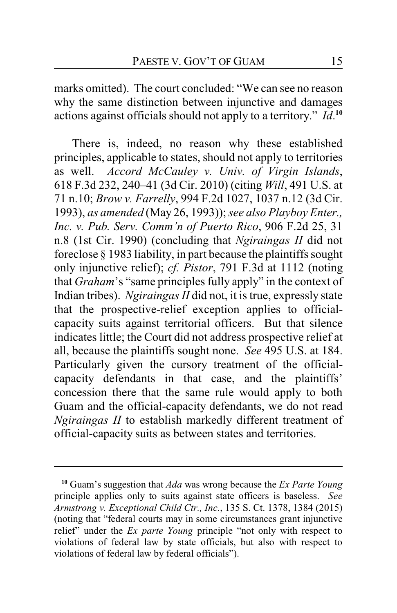marks omitted). The court concluded: "We can see no reason why the same distinction between injunctive and damages actions against officials should not apply to a territory." *Id*. **10**

There is, indeed, no reason why these established principles, applicable to states, should not apply to territories as well. *Accord McCauley v. Univ. of Virgin Islands*, 618 F.3d 232, 240–41 (3d Cir. 2010) (citing *Will*, 491 U.S. at 71 n.10; *Brow v. Farrelly*, 994 F.2d 1027, 1037 n.12 (3d Cir. 1993), *as amended* (May 26, 1993)); *see also Playboy Enter., Inc. v. Pub. Serv. Comm'n of Puerto Rico*, 906 F.2d 25, 31 n.8 (1st Cir. 1990) (concluding that *Ngiraingas II* did not foreclose § 1983 liability, in part because the plaintiffs sought only injunctive relief); *cf. Pistor*, 791 F.3d at 1112 (noting that *Graham*'s "same principles fully apply" in the context of Indian tribes). *Ngiraingas II* did not, it is true, expressly state that the prospective-relief exception applies to officialcapacity suits against territorial officers. But that silence indicates little; the Court did not address prospective relief at all, because the plaintiffs sought none. *See* 495 U.S. at 184. Particularly given the cursory treatment of the officialcapacity defendants in that case, and the plaintiffs' concession there that the same rule would apply to both Guam and the official-capacity defendants, we do not read *Ngiraingas II* to establish markedly different treatment of official-capacity suits as between states and territories.

**<sup>10</sup>** Guam's suggestion that *Ada* was wrong because the *Ex Parte Young* principle applies only to suits against state officers is baseless. *See Armstrong v. Exceptional Child Ctr., Inc.*, 135 S. Ct. 1378, 1384 (2015) (noting that "federal courts may in some circumstances grant injunctive relief" under the *Ex parte Young* principle "not only with respect to violations of federal law by state officials, but also with respect to violations of federal law by federal officials").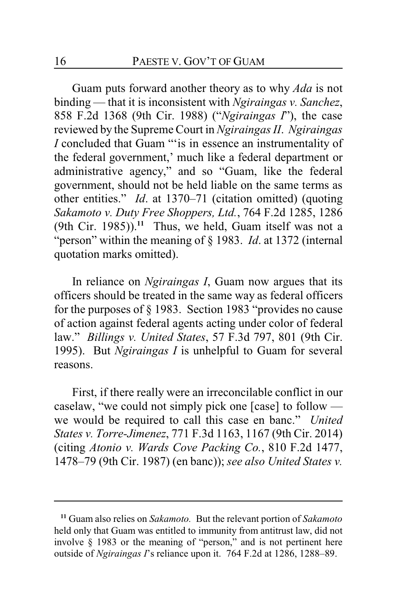Guam puts forward another theory as to why *Ada* is not binding — that it is inconsistent with *Ngiraingas v. Sanchez*, 858 F.2d 1368 (9th Cir. 1988) ("*Ngiraingas I*"), the case reviewed by the Supreme Court in *Ngiraingas II*. *Ngiraingas I* concluded that Guam "'is in essence an instrumentality of the federal government,' much like a federal department or administrative agency," and so "Guam, like the federal government, should not be held liable on the same terms as other entities." *Id*. at 1370–71 (citation omitted) (quoting *Sakamoto v. Duty Free Shoppers, Ltd.*, 764 F.2d 1285, 1286 (9th Cir. 1985)).**<sup>11</sup>** Thus, we held, Guam itself was not a "person" within the meaning of § 1983. *Id*. at 1372 (internal quotation marks omitted).

In reliance on *Ngiraingas I*, Guam now argues that its officers should be treated in the same way as federal officers for the purposes of § 1983. Section 1983 "provides no cause of action against federal agents acting under color of federal law." *Billings v. United States*, 57 F.3d 797, 801 (9th Cir. 1995). But *Ngiraingas I* is unhelpful to Guam for several reasons.

First, if there really were an irreconcilable conflict in our caselaw, "we could not simply pick one [case] to follow we would be required to call this case en banc." *United States v. Torre-Jimenez*, 771 F.3d 1163, 1167 (9th Cir. 2014) (citing *Atonio v. Wards Cove Packing Co.*, 810 F.2d 1477, 1478–79 (9th Cir. 1987) (en banc)); *see also United States v.*

**<sup>11</sup>** Guam also relies on *Sakamoto.* But the relevant portion of *Sakamoto* held only that Guam was entitled to immunity from antitrust law, did not involve § 1983 or the meaning of "person," and is not pertinent here outside of *Ngiraingas I*'s reliance upon it. 764 F.2d at 1286, 1288–89.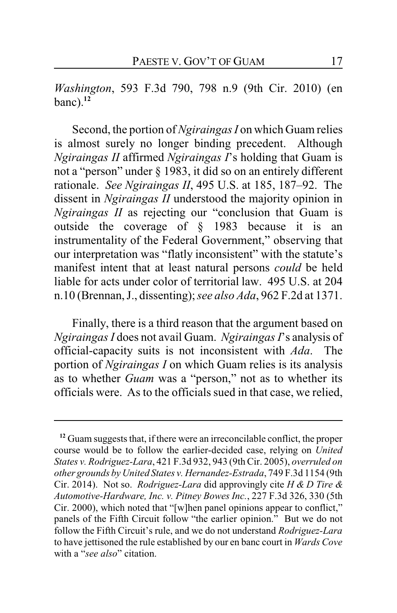*Washington*, 593 F.3d 790, 798 n.9 (9th Cir. 2010) (en banc).**<sup>12</sup>**

Second, the portion of *Ngiraingas I* on which Guam relies is almost surely no longer binding precedent. Although *Ngiraingas II* affirmed *Ngiraingas I*'s holding that Guam is not a "person" under § 1983, it did so on an entirely different rationale. *See Ngiraingas II*, 495 U.S. at 185, 187–92. The dissent in *Ngiraingas II* understood the majority opinion in *Ngiraingas II* as rejecting our "conclusion that Guam is outside the coverage of § 1983 because it is an instrumentality of the Federal Government," observing that our interpretation was "flatly inconsistent" with the statute's manifest intent that at least natural persons *could* be held liable for acts under color of territorial law. 495 U.S. at 204 n.10 (Brennan, J., dissenting); *see also Ada*, 962 F.2d at 1371.

Finally, there is a third reason that the argument based on *Ngiraingas I* does not avail Guam. *Ngiraingas I*'s analysis of official-capacity suits is not inconsistent with *Ada*. The portion of *Ngiraingas I* on which Guam relies is its analysis as to whether *Guam* was a "person," not as to whether its officials were. As to the officials sued in that case, we relied,

**<sup>12</sup>** Guam suggests that, if there were an irreconcilable conflict, the proper course would be to follow the earlier-decided case, relying on *United States v. Rodriguez-Lara*, 421 F.3d 932, 943 (9thCir. 2005), *overruled on other grounds by United States v. Hernandez-Estrada*, 749 F.3d 1154 (9th Cir. 2014). Not so. *Rodriguez-Lara* did approvingly cite *H & D Tire & Automotive-Hardware, Inc. v. Pitney Bowes Inc.*, 227 F.3d 326, 330 (5th Cir. 2000), which noted that "[w]hen panel opinions appear to conflict," panels of the Fifth Circuit follow "the earlier opinion." But we do not follow the Fifth Circuit's rule, and we do not understand *Rodriguez-Lara* to have jettisoned the rule established by our en banc court in *Wards Cove* with a "*see also*" citation.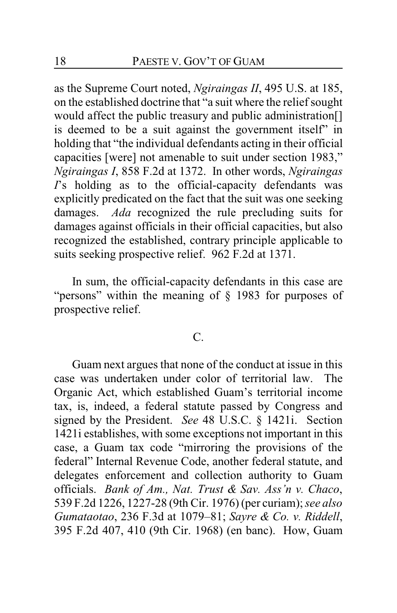as the Supreme Court noted, *Ngiraingas II*, 495 U.S. at 185, on the established doctrine that "a suit where the relief sought would affect the public treasury and public administration[] is deemed to be a suit against the government itself" in holding that "the individual defendants acting in their official capacities [were] not amenable to suit under section 1983," *Ngiraingas I*, 858 F.2d at 1372. In other words, *Ngiraingas I*'s holding as to the official-capacity defendants was explicitly predicated on the fact that the suit was one seeking damages. *Ada* recognized the rule precluding suits for damages against officials in their official capacities, but also recognized the established, contrary principle applicable to suits seeking prospective relief. 962 F.2d at 1371.

In sum, the official-capacity defendants in this case are "persons" within the meaning of § 1983 for purposes of prospective relief.

### C.

Guam next argues that none of the conduct at issue in this case was undertaken under color of territorial law. The Organic Act, which established Guam's territorial income tax, is, indeed, a federal statute passed by Congress and signed by the President. *See* 48 U.S.C. § 1421i. Section 1421i establishes, with some exceptions not important in this case, a Guam tax code "mirroring the provisions of the federal" Internal Revenue Code, another federal statute, and delegates enforcement and collection authority to Guam officials. *Bank of Am., Nat. Trust & Sav. Ass'n v. Chaco*, 539 F.2d 1226, 1227-28 (9th Cir. 1976) (per curiam); *see also Gumataotao*, 236 F.3d at 1079–81; *Sayre & Co. v. Riddell*, 395 F.2d 407, 410 (9th Cir. 1968) (en banc). How, Guam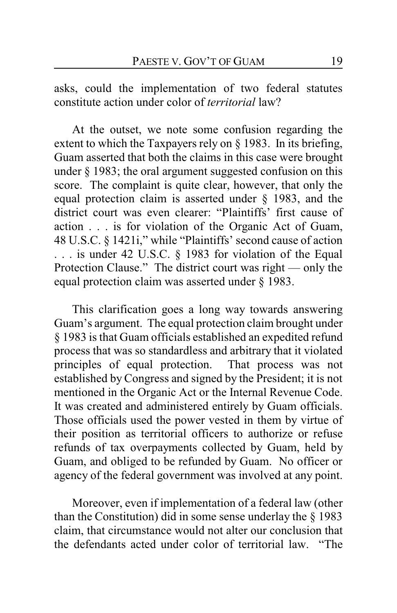asks, could the implementation of two federal statutes constitute action under color of *territorial* law?

At the outset, we note some confusion regarding the extent to which the Taxpayers rely on § 1983. In its briefing, Guam asserted that both the claims in this case were brought under § 1983; the oral argument suggested confusion on this score. The complaint is quite clear, however, that only the equal protection claim is asserted under § 1983, and the district court was even clearer: "Plaintiffs' first cause of action . . . is for violation of the Organic Act of Guam, 48 U.S.C. § 1421i," while "Plaintiffs' second cause of action . . . is under 42 U.S.C. § 1983 for violation of the Equal Protection Clause." The district court was right — only the equal protection claim was asserted under § 1983.

This clarification goes a long way towards answering Guam's argument. The equal protection claim brought under § 1983 is that Guam officials established an expedited refund process that was so standardless and arbitrary that it violated principles of equal protection. That process was not established by Congress and signed by the President; it is not mentioned in the Organic Act or the Internal Revenue Code. It was created and administered entirely by Guam officials. Those officials used the power vested in them by virtue of their position as territorial officers to authorize or refuse refunds of tax overpayments collected by Guam, held by Guam, and obliged to be refunded by Guam. No officer or agency of the federal government was involved at any point.

Moreover, even if implementation of a federal law (other than the Constitution) did in some sense underlay the § 1983 claim, that circumstance would not alter our conclusion that the defendants acted under color of territorial law. "The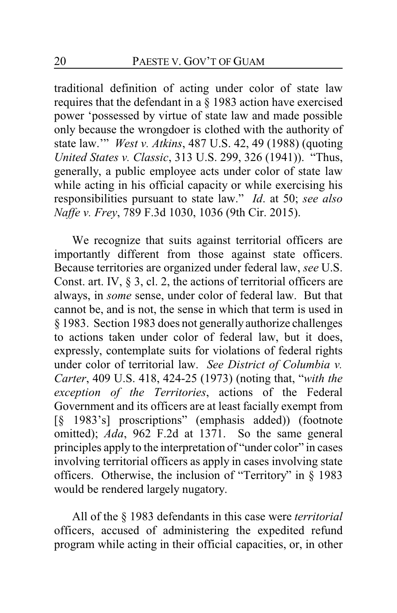traditional definition of acting under color of state law requires that the defendant in a § 1983 action have exercised power 'possessed by virtue of state law and made possible only because the wrongdoer is clothed with the authority of state law.'" *West v. Atkins*, 487 U.S. 42, 49 (1988) (quoting *United States v. Classic*, 313 U.S. 299, 326 (1941)). "Thus, generally, a public employee acts under color of state law while acting in his official capacity or while exercising his responsibilities pursuant to state law." *Id*. at 50; *see also Naffe v. Frey*, 789 F.3d 1030, 1036 (9th Cir. 2015).

We recognize that suits against territorial officers are importantly different from those against state officers. Because territories are organized under federal law, *see* U.S. Const. art. IV, § 3, cl. 2, the actions of territorial officers are always, in *some* sense, under color of federal law. But that cannot be, and is not, the sense in which that term is used in § 1983. Section 1983 does not generally authorize challenges to actions taken under color of federal law, but it does, expressly, contemplate suits for violations of federal rights under color of territorial law. *See District of Columbia v. Carter*, 409 U.S. 418, 424-25 (1973) (noting that, "*with the exception of the Territories*, actions of the Federal Government and its officers are at least facially exempt from [§ 1983's] proscriptions" (emphasis added)) (footnote omitted); *Ada*, 962 F.2d at 1371. So the same general principles apply to the interpretation of "under color" in cases involving territorial officers as apply in cases involving state officers. Otherwise, the inclusion of "Territory" in § 1983 would be rendered largely nugatory.

All of the § 1983 defendants in this case were *territorial* officers, accused of administering the expedited refund program while acting in their official capacities, or, in other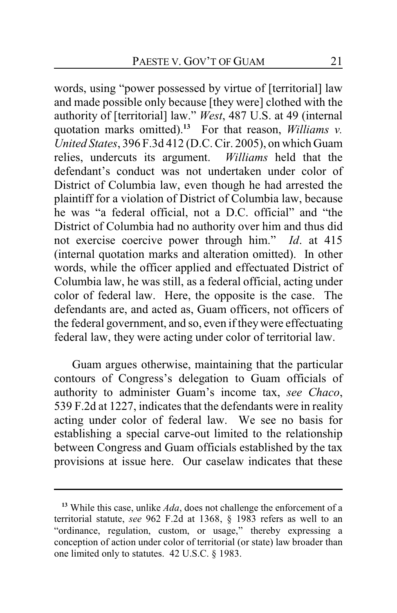words, using "power possessed by virtue of [territorial] law and made possible only because [they were] clothed with the authority of [territorial] law." *West*, 487 U.S. at 49 (internal quotation marks omitted).**<sup>13</sup>** For that reason, *Williams v. United States*, 396 F.3d 412 (D.C. Cir. 2005), on which Guam relies, undercuts its argument. *Williams* held that the defendant's conduct was not undertaken under color of District of Columbia law, even though he had arrested the plaintiff for a violation of District of Columbia law, because he was "a federal official, not a D.C. official" and "the District of Columbia had no authority over him and thus did not exercise coercive power through him." *Id*. at 415 (internal quotation marks and alteration omitted). In other words, while the officer applied and effectuated District of Columbia law, he was still, as a federal official, acting under color of federal law. Here, the opposite is the case. The defendants are, and acted as, Guam officers, not officers of the federal government, and so, even if theywere effectuating federal law, they were acting under color of territorial law.

Guam argues otherwise, maintaining that the particular contours of Congress's delegation to Guam officials of authority to administer Guam's income tax, *see Chaco*, 539 F.2d at 1227, indicates that the defendants were in reality acting under color of federal law. We see no basis for establishing a special carve-out limited to the relationship between Congress and Guam officials established by the tax provisions at issue here. Our caselaw indicates that these

**<sup>13</sup>** While this case, unlike *Ada*, does not challenge the enforcement of a territorial statute, *see* 962 F.2d at 1368, § 1983 refers as well to an "ordinance, regulation, custom, or usage," thereby expressing a conception of action under color of territorial (or state) law broader than one limited only to statutes. 42 U.S.C. § 1983.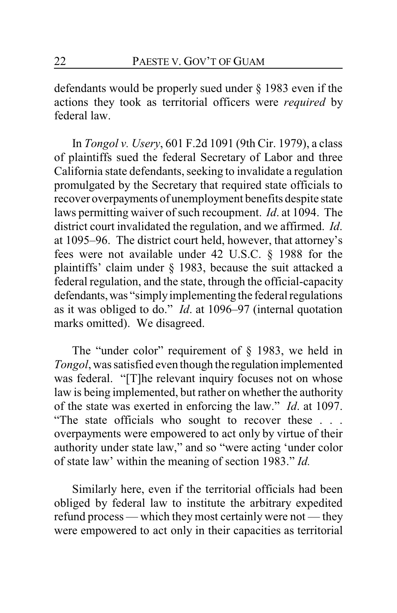defendants would be properly sued under § 1983 even if the actions they took as territorial officers were *required* by federal law.

In *Tongol v. Usery*, 601 F.2d 1091 (9th Cir. 1979), a class of plaintiffs sued the federal Secretary of Labor and three California state defendants, seeking to invalidate a regulation promulgated by the Secretary that required state officials to recover overpayments of unemployment benefits despite state laws permitting waiver of such recoupment. *Id*. at 1094. The district court invalidated the regulation, and we affirmed. *Id*. at 1095–96. The district court held, however, that attorney's fees were not available under 42 U.S.C. § 1988 for the plaintiffs' claim under § 1983, because the suit attacked a federal regulation, and the state, through the official-capacity defendants, was "simply implementing the federal regulations as it was obliged to do." *Id*. at 1096–97 (internal quotation marks omitted). We disagreed.

The "under color" requirement of  $\S$  1983, we held in *Tongol*, was satisfied even though the regulation implemented was federal. "[T]he relevant inquiry focuses not on whose law is being implemented, but rather on whether the authority of the state was exerted in enforcing the law." *Id*. at 1097. "The state officials who sought to recover these . . . overpayments were empowered to act only by virtue of their authority under state law," and so "were acting 'under color of state law' within the meaning of section 1983." *Id.*

Similarly here, even if the territorial officials had been obliged by federal law to institute the arbitrary expedited refund process — which they most certainly were not — they were empowered to act only in their capacities as territorial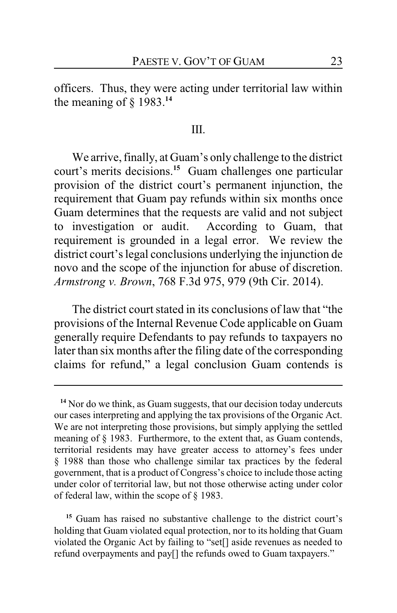officers. Thus, they were acting under territorial law within the meaning of  $\S$  1983.<sup>14</sup>

#### III.

We arrive, finally, at Guam's only challenge to the district court's merits decisions.**<sup>15</sup>** Guam challenges one particular provision of the district court's permanent injunction, the requirement that Guam pay refunds within six months once Guam determines that the requests are valid and not subject to investigation or audit. According to Guam, that requirement is grounded in a legal error. We review the district court's legal conclusions underlying the injunction de novo and the scope of the injunction for abuse of discretion. *Armstrong v. Brown*, 768 F.3d 975, 979 (9th Cir. 2014).

The district court stated in its conclusions of law that "the provisions of the Internal Revenue Code applicable on Guam generally require Defendants to pay refunds to taxpayers no later than six months after the filing date of the corresponding claims for refund," a legal conclusion Guam contends is

**<sup>15</sup>** Guam has raised no substantive challenge to the district court's holding that Guam violated equal protection, nor to its holding that Guam violated the Organic Act by failing to "set[] aside revenues as needed to refund overpayments and pay[] the refunds owed to Guam taxpayers."

<sup>&</sup>lt;sup>14</sup> Nor do we think, as Guam suggests, that our decision today undercuts our cases interpreting and applying the tax provisions of the Organic Act. We are not interpreting those provisions, but simply applying the settled meaning of § 1983. Furthermore, to the extent that, as Guam contends, territorial residents may have greater access to attorney's fees under § 1988 than those who challenge similar tax practices by the federal government, that is a product of Congress's choice to include those acting under color of territorial law, but not those otherwise acting under color of federal law, within the scope of § 1983.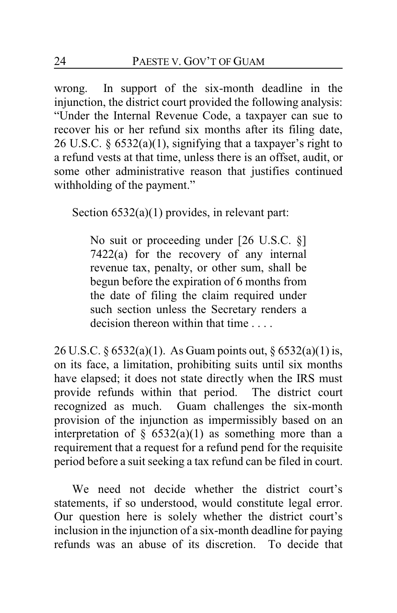wrong. In support of the six-month deadline in the injunction, the district court provided the following analysis: "Under the Internal Revenue Code, a taxpayer can sue to recover his or her refund six months after its filing date, 26 U.S.C.  $\S 6532(a)(1)$ , signifying that a taxpayer's right to a refund vests at that time, unless there is an offset, audit, or some other administrative reason that justifies continued withholding of the payment."

Section 6532(a)(1) provides, in relevant part:

No suit or proceeding under [26 U.S.C. §] 7422(a) for the recovery of any internal revenue tax, penalty, or other sum, shall be begun before the expiration of 6 months from the date of filing the claim required under such section unless the Secretary renders a decision thereon within that time

26 U.S.C. § 6532(a)(1). As Guam points out, § 6532(a)(1) is, on its face, a limitation, prohibiting suits until six months have elapsed; it does not state directly when the IRS must provide refunds within that period. The district court recognized as much. Guam challenges the six-month provision of the injunction as impermissibly based on an interpretation of  $\S$  6532(a)(1) as something more than a requirement that a request for a refund pend for the requisite period before a suit seeking a tax refund can be filed in court.

We need not decide whether the district court's statements, if so understood, would constitute legal error. Our question here is solely whether the district court's inclusion in the injunction of a six-month deadline for paying refunds was an abuse of its discretion. To decide that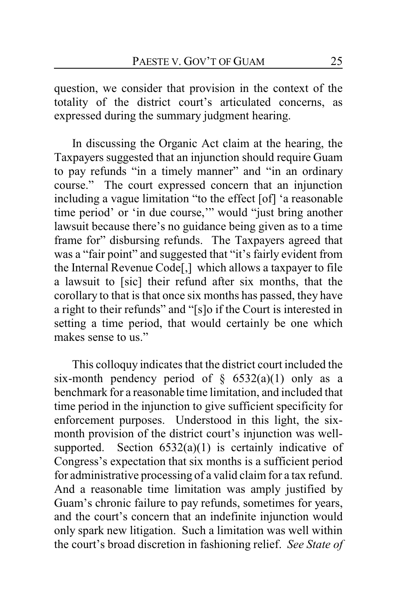question, we consider that provision in the context of the totality of the district court's articulated concerns, as expressed during the summary judgment hearing.

In discussing the Organic Act claim at the hearing, the Taxpayers suggested that an injunction should require Guam to pay refunds "in a timely manner" and "in an ordinary course." The court expressed concern that an injunction including a vague limitation "to the effect [of] 'a reasonable time period' or 'in due course,'" would "just bring another lawsuit because there's no guidance being given as to a time frame for" disbursing refunds. The Taxpayers agreed that was a "fair point" and suggested that "it's fairly evident from the Internal Revenue Code[,] which allows a taxpayer to file a lawsuit to [sic] their refund after six months, that the corollary to that is that once six months has passed, they have a right to their refunds" and "[s]o if the Court is interested in setting a time period, that would certainly be one which makes sense to us."

This colloquy indicates that the district court included the six-month pendency period of  $\S$  6532(a)(1) only as a benchmark for a reasonable time limitation, and included that time period in the injunction to give sufficient specificity for enforcement purposes. Understood in this light, the sixmonth provision of the district court's injunction was wellsupported. Section  $6532(a)(1)$  is certainly indicative of Congress's expectation that six months is a sufficient period for administrative processing of a valid claim for a tax refund. And a reasonable time limitation was amply justified by Guam's chronic failure to pay refunds, sometimes for years, and the court's concern that an indefinite injunction would only spark new litigation. Such a limitation was well within the court's broad discretion in fashioning relief. *See State of*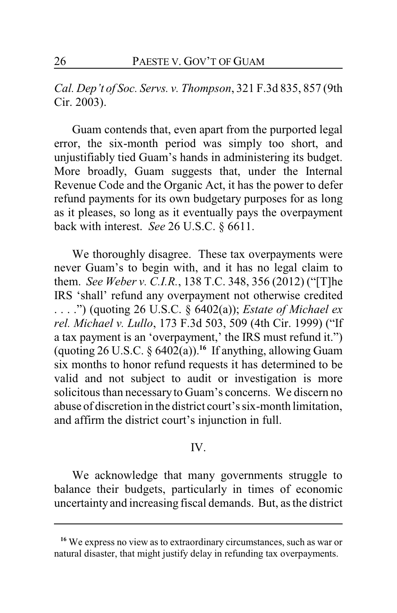*Cal. Dep't of Soc. Servs. v. Thompson*, 321 F.3d 835, 857 (9th Cir. 2003).

Guam contends that, even apart from the purported legal error, the six-month period was simply too short, and unjustifiably tied Guam's hands in administering its budget. More broadly, Guam suggests that, under the Internal Revenue Code and the Organic Act, it has the power to defer refund payments for its own budgetary purposes for as long as it pleases, so long as it eventually pays the overpayment back with interest. *See* 26 U.S.C. § 6611.

We thoroughly disagree. These tax overpayments were never Guam's to begin with, and it has no legal claim to them. *See Weber v. C.I.R.*, 138 T.C. 348, 356 (2012) ("[T]he IRS 'shall' refund any overpayment not otherwise credited . . . .") (quoting 26 U.S.C. § 6402(a)); *Estate of Michael ex rel. Michael v. Lullo*, 173 F.3d 503, 509 (4th Cir. 1999) ("If a tax payment is an 'overpayment,' the IRS must refund it.") (quoting 26 U.S.C. § 6402(a)).**<sup>16</sup>** If anything, allowing Guam six months to honor refund requests it has determined to be valid and not subject to audit or investigation is more solicitous than necessaryto Guam's concerns. We discern no abuse of discretion in the district court's six-month limitation, and affirm the district court's injunction in full.

### IV.

We acknowledge that many governments struggle to balance their budgets, particularly in times of economic uncertainty and increasing fiscal demands. But, as the district

<sup>&</sup>lt;sup>16</sup> We express no view as to extraordinary circumstances, such as war or natural disaster, that might justify delay in refunding tax overpayments.